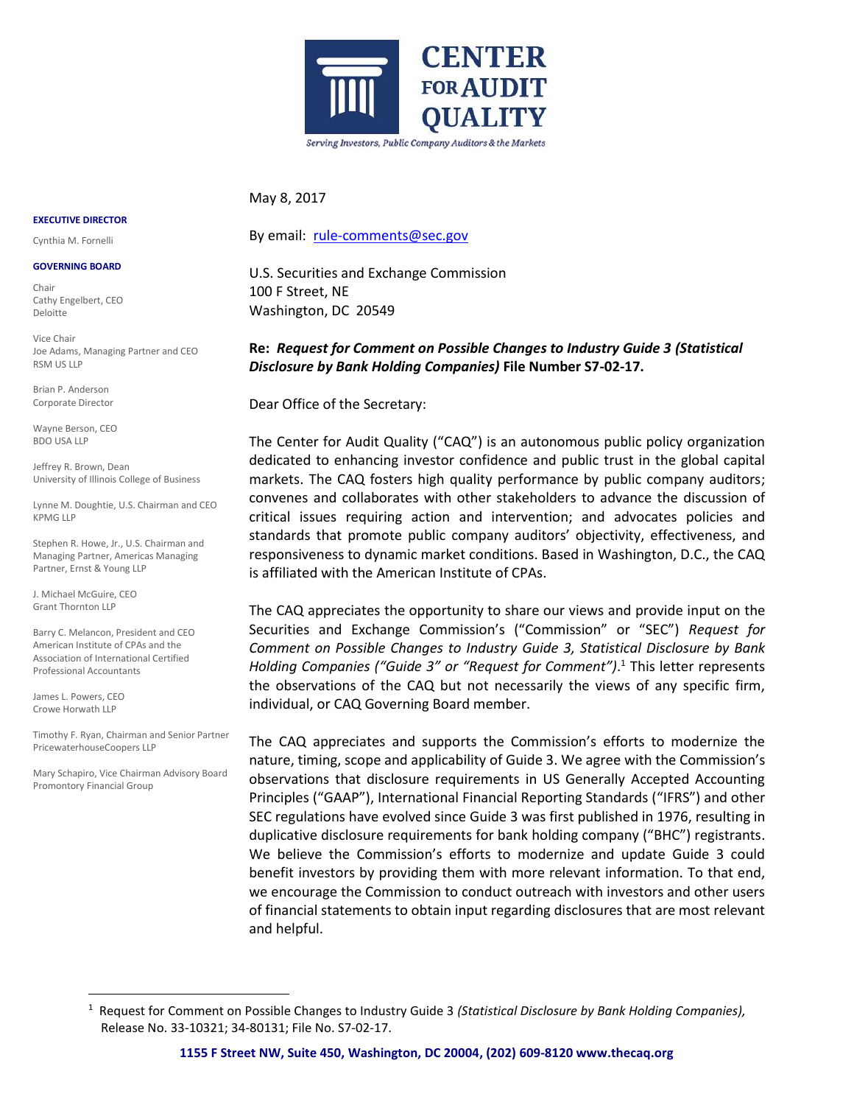

### May 8, 2017

By email: [rule-comments@sec.gov](mailto:rule-comments@sec.gov)

U.S. Securities and Exchange Commission 100 F Street, NE Washington, DC 20549

**Re:** *Request for Comment on Possible Changes to Industry Guide 3 (Statistical Disclosure by Bank Holding Companies)* **File Number S7-02-17.**

Dear Office of the Secretary:

The Center for Audit Quality ("CAQ") is an autonomous public policy organization dedicated to enhancing investor confidence and public trust in the global capital markets. The CAQ fosters high quality performance by public company auditors; convenes and collaborates with other stakeholders to advance the discussion of critical issues requiring action and intervention; and advocates policies and standards that promote public company auditors' objectivity, effectiveness, and responsiveness to dynamic market conditions. Based in Washington, D.C., the CAQ is affiliated with the American Institute of CPAs.

The CAQ appreciates the opportunity to share our views and provide input on the Securities and Exchange Commission's ("Commission" or "SEC") *Request for Comment on Possible Changes to Industry Guide 3, Statistical Disclosure by Bank Holding Companies ("Guide 3" or "Request for Comment")*. <sup>1</sup> This letter represents the observations of the CAQ but not necessarily the views of any specific firm, individual, or CAQ Governing Board member.

The CAQ appreciates and supports the Commission's efforts to modernize the nature, timing, scope and applicability of Guide 3. We agree with the Commission's observations that disclosure requirements in US Generally Accepted Accounting Principles ("GAAP"), International Financial Reporting Standards ("IFRS") and other SEC regulations have evolved since Guide 3 was first published in 1976, resulting in duplicative disclosure requirements for bank holding company ("BHC") registrants. We believe the Commission's efforts to modernize and update Guide 3 could benefit investors by providing them with more relevant information. To that end, we encourage the Commission to conduct outreach with investors and other users of financial statements to obtain input regarding disclosures that are most relevant and helpful.

#### **EXECUTIVE DIRECTOR**

Cynthia M. Fornelli

#### **GOVERNING BOARD**

Chair Cathy Engelbert, CEO Deloitte

Vice Chair Joe Adams, Managing Partner and CEO RSM US LLP

Brian P. Anderson Corporate Director

Wayne Berson, CEO BDO USA LLP

Jeffrey R. Brown, Dean University of Illinois College of Business

Lynne M. Doughtie, U.S. Chairman and CEO KPMG LLP

Stephen R. Howe, Jr., U.S. Chairman and Managing Partner, Americas Managing Partner, Ernst & Young LLP

J. Michael McGuire, CEO Grant Thornton LLP

Barry C. Melancon, President and CEO American Institute of CPAs and the Association of International Certified Professional Accountants

James L. Powers, CEO Crowe Horwath LLP

 $\overline{a}$ 

Timothy F. Ryan, Chairman and Senior Partner PricewaterhouseCoopers LLP

Mary Schapiro, Vice Chairman Advisory Board Promontory Financial Group

<sup>1</sup> Request for Comment on Possible Changes to Industry Guide 3 *(Statistical Disclosure by Bank Holding Companies),*  Release No. 33-10321; 34-80131; File No. S7-02-17.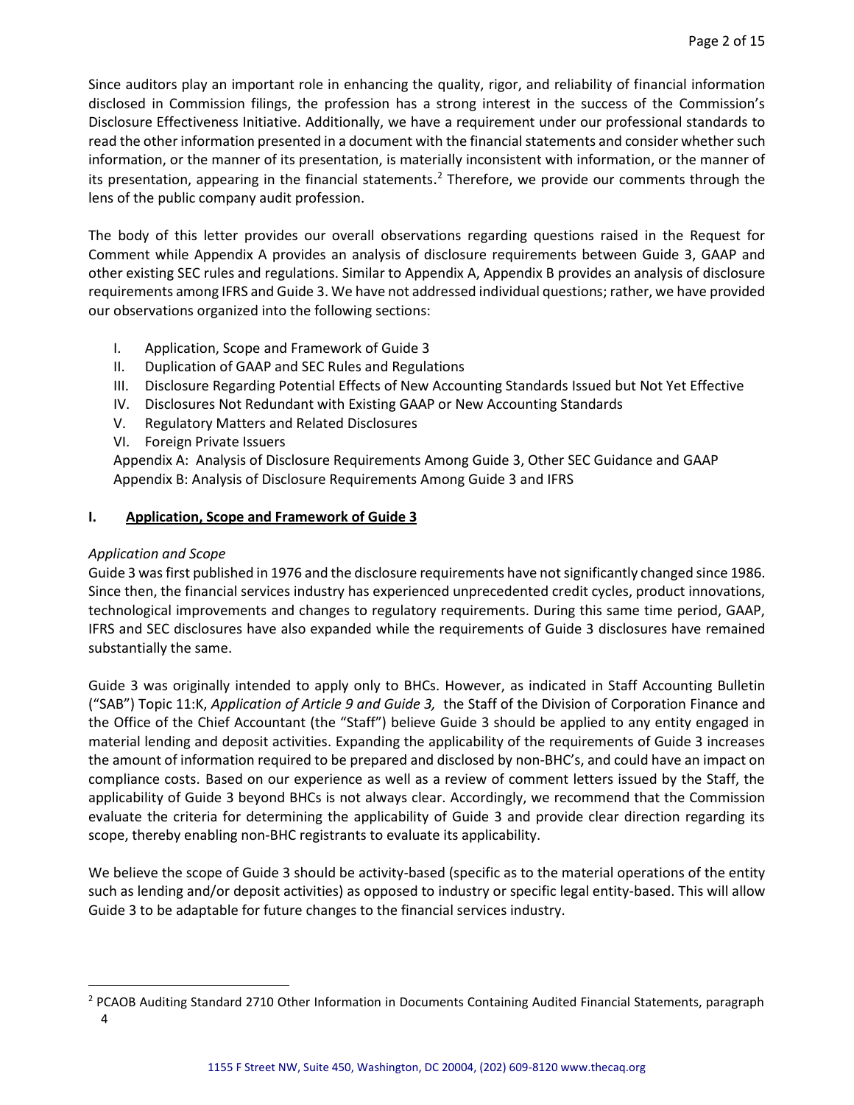Since auditors play an important role in enhancing the quality, rigor, and reliability of financial information disclosed in Commission filings, the profession has a strong interest in the success of the Commission's Disclosure Effectiveness Initiative. Additionally, we have a requirement under our professional standards to read the other information presented in a document with the financial statements and consider whether such information, or the manner of its presentation, is materially inconsistent with information, or the manner of its presentation, appearing in the financial statements.<sup>2</sup> Therefore, we provide our comments through the lens of the public company audit profession.

The body of this letter provides our overall observations regarding questions raised in the Request for Comment while Appendix A provides an analysis of disclosure requirements between Guide 3, GAAP and other existing SEC rules and regulations. Similar to Appendix A, Appendix B provides an analysis of disclosure requirements among IFRS and Guide 3. We have not addressed individual questions; rather, we have provided our observations organized into the following sections:

- I. Application, Scope and Framework of Guide 3
- II. Duplication of GAAP and SEC Rules and Regulations
- III. Disclosure Regarding Potential Effects of New Accounting Standards Issued but Not Yet Effective
- IV. Disclosures Not Redundant with Existing GAAP or New Accounting Standards
- V. Regulatory Matters and Related Disclosures
- VI. Foreign Private Issuers

Appendix A: Analysis of Disclosure Requirements Among Guide 3, Other SEC Guidance and GAAP Appendix B: Analysis of Disclosure Requirements Among Guide 3 and IFRS

## **I. Application, Scope and Framework of Guide 3**

## *Application and Scope*

 $\overline{a}$ 

Guide 3 was first published in 1976 and the disclosure requirements have not significantly changed since 1986. Since then, the financial services industry has experienced unprecedented credit cycles, product innovations, technological improvements and changes to regulatory requirements. During this same time period, GAAP, IFRS and SEC disclosures have also expanded while the requirements of Guide 3 disclosures have remained substantially the same.

Guide 3 was originally intended to apply only to BHCs. However, as indicated in Staff Accounting Bulletin ("SAB") Topic 11:K, *Application of Article 9 and Guide 3,* the Staff of the Division of Corporation Finance and the Office of the Chief Accountant (the "Staff") believe Guide 3 should be applied to any entity engaged in material lending and deposit activities. Expanding the applicability of the requirements of Guide 3 increases the amount of information required to be prepared and disclosed by non-BHC's, and could have an impact on compliance costs. Based on our experience as well as a review of comment letters issued by the Staff, the applicability of Guide 3 beyond BHCs is not always clear. Accordingly, we recommend that the Commission evaluate the criteria for determining the applicability of Guide 3 and provide clear direction regarding its scope, thereby enabling non-BHC registrants to evaluate its applicability.

We believe the scope of Guide 3 should be activity-based (specific as to the material operations of the entity such as lending and/or deposit activities) as opposed to industry or specific legal entity-based. This will allow Guide 3 to be adaptable for future changes to the financial services industry.

<sup>&</sup>lt;sup>2</sup> PCAOB Auditing Standard 2710 Other Information in Documents Containing Audited Financial Statements, paragraph 4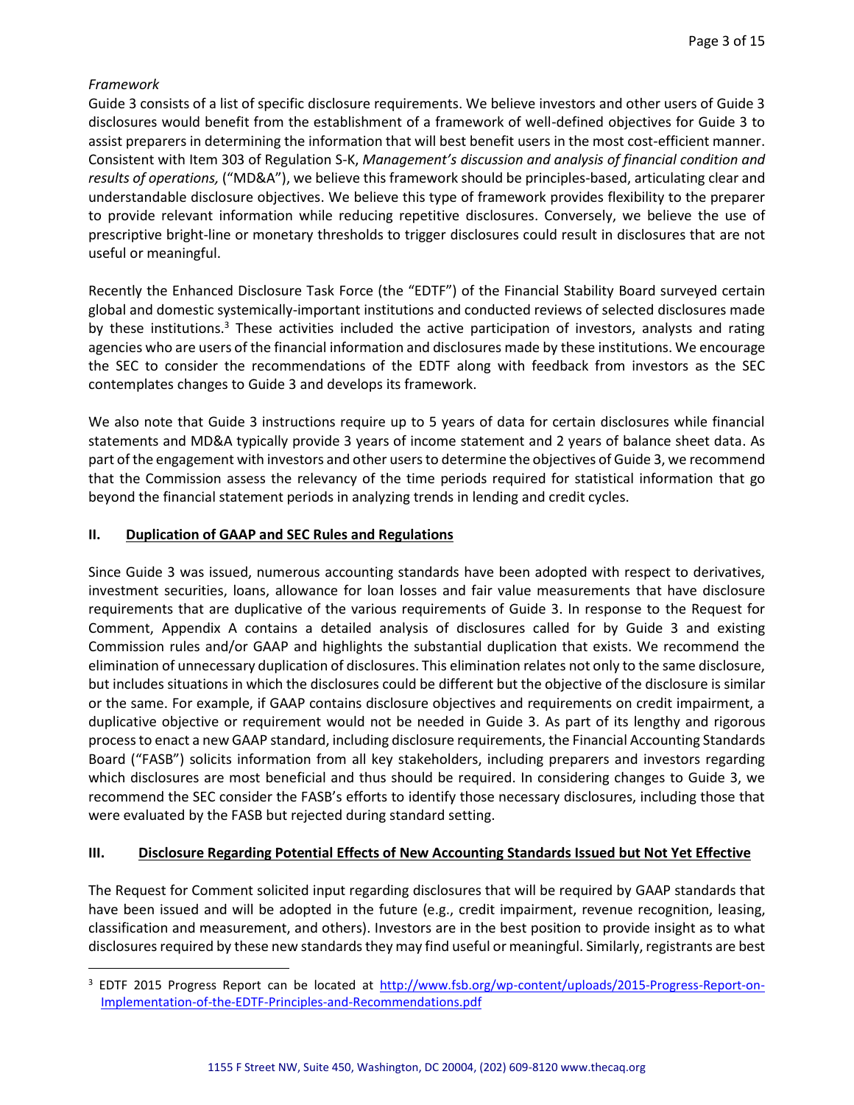# *Framework*

 $\overline{a}$ 

Guide 3 consists of a list of specific disclosure requirements. We believe investors and other users of Guide 3 disclosures would benefit from the establishment of a framework of well-defined objectives for Guide 3 to assist preparers in determining the information that will best benefit users in the most cost-efficient manner. Consistent with Item 303 of Regulation S-K, *Management's discussion and analysis of financial condition and results of operations,* ("MD&A"), we believe this framework should be principles-based, articulating clear and understandable disclosure objectives. We believe this type of framework provides flexibility to the preparer to provide relevant information while reducing repetitive disclosures. Conversely, we believe the use of prescriptive bright-line or monetary thresholds to trigger disclosures could result in disclosures that are not useful or meaningful.

Recently the Enhanced Disclosure Task Force (the "EDTF") of the Financial Stability Board surveyed certain global and domestic systemically-important institutions and conducted reviews of selected disclosures made by these institutions.<sup>3</sup> These activities included the active participation of investors, analysts and rating agencies who are users of the financial information and disclosures made by these institutions. We encourage the SEC to consider the recommendations of the EDTF along with feedback from investors as the SEC contemplates changes to Guide 3 and develops its framework.

We also note that Guide 3 instructions require up to 5 years of data for certain disclosures while financial statements and MD&A typically provide 3 years of income statement and 2 years of balance sheet data. As part of the engagement with investors and other usersto determine the objectives of Guide 3, we recommend that the Commission assess the relevancy of the time periods required for statistical information that go beyond the financial statement periods in analyzing trends in lending and credit cycles.

## **II. Duplication of GAAP and SEC Rules and Regulations**

Since Guide 3 was issued, numerous accounting standards have been adopted with respect to derivatives, investment securities, loans, allowance for loan losses and fair value measurements that have disclosure requirements that are duplicative of the various requirements of Guide 3. In response to the Request for Comment, Appendix A contains a detailed analysis of disclosures called for by Guide 3 and existing Commission rules and/or GAAP and highlights the substantial duplication that exists. We recommend the elimination of unnecessary duplication of disclosures. This elimination relates not only to the same disclosure, but includes situations in which the disclosures could be different but the objective of the disclosure is similar or the same. For example, if GAAP contains disclosure objectives and requirements on credit impairment, a duplicative objective or requirement would not be needed in Guide 3. As part of its lengthy and rigorous process to enact a new GAAP standard, including disclosure requirements, the Financial Accounting Standards Board ("FASB") solicits information from all key stakeholders, including preparers and investors regarding which disclosures are most beneficial and thus should be required. In considering changes to Guide 3, we recommend the SEC consider the FASB's efforts to identify those necessary disclosures, including those that were evaluated by the FASB but rejected during standard setting.

## **III. Disclosure Regarding Potential Effects of New Accounting Standards Issued but Not Yet Effective**

The Request for Comment solicited input regarding disclosures that will be required by GAAP standards that have been issued and will be adopted in the future (e.g., credit impairment, revenue recognition, leasing, classification and measurement, and others). Investors are in the best position to provide insight as to what disclosures required by these new standards they may find useful or meaningful. Similarly, registrants are best

<sup>&</sup>lt;sup>3</sup> EDTF 2015 Progress Report can be located at [http://www.fsb.org/wp-content/uploads/2015-Progress-Report-on-](http://www.fsb.org/wp-content/uploads/2015-Progress-Report-on-Implementation-of-the-EDTF-Principles-and-Recommendations.pdf)[Implementation-of-the-EDTF-Principles-and-Recommendations.pdf](http://www.fsb.org/wp-content/uploads/2015-Progress-Report-on-Implementation-of-the-EDTF-Principles-and-Recommendations.pdf)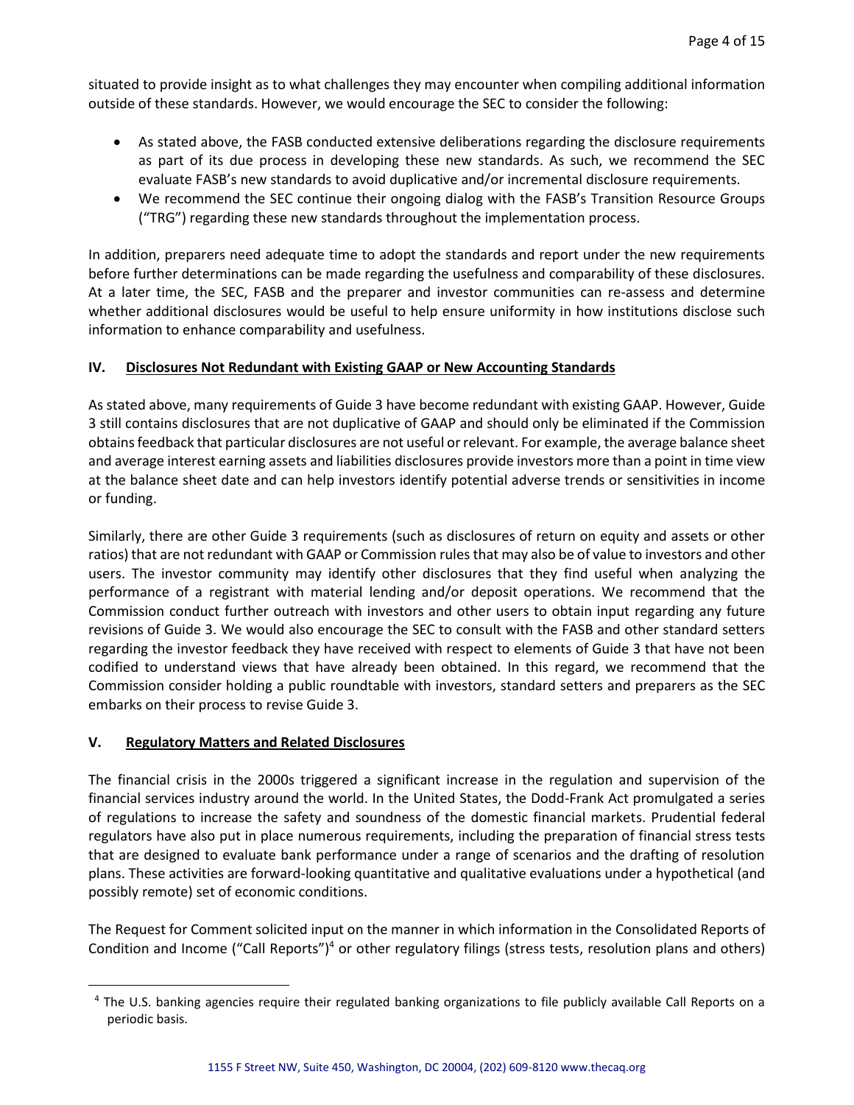situated to provide insight as to what challenges they may encounter when compiling additional information outside of these standards. However, we would encourage the SEC to consider the following:

- As stated above, the FASB conducted extensive deliberations regarding the disclosure requirements as part of its due process in developing these new standards. As such, we recommend the SEC evaluate FASB's new standards to avoid duplicative and/or incremental disclosure requirements.
- We recommend the SEC continue their ongoing dialog with the FASB's Transition Resource Groups ("TRG") regarding these new standards throughout the implementation process.

In addition, preparers need adequate time to adopt the standards and report under the new requirements before further determinations can be made regarding the usefulness and comparability of these disclosures. At a later time, the SEC, FASB and the preparer and investor communities can re-assess and determine whether additional disclosures would be useful to help ensure uniformity in how institutions disclose such information to enhance comparability and usefulness.

# **IV. Disclosures Not Redundant with Existing GAAP or New Accounting Standards**

As stated above, many requirements of Guide 3 have become redundant with existing GAAP. However, Guide 3 still contains disclosures that are not duplicative of GAAP and should only be eliminated if the Commission obtains feedback that particular disclosures are not useful or relevant. For example, the average balance sheet and average interest earning assets and liabilities disclosures provide investors more than a point in time view at the balance sheet date and can help investors identify potential adverse trends or sensitivities in income or funding.

Similarly, there are other Guide 3 requirements (such as disclosures of return on equity and assets or other ratios) that are not redundant with GAAP or Commission rules that may also be of value to investors and other users. The investor community may identify other disclosures that they find useful when analyzing the performance of a registrant with material lending and/or deposit operations. We recommend that the Commission conduct further outreach with investors and other users to obtain input regarding any future revisions of Guide 3. We would also encourage the SEC to consult with the FASB and other standard setters regarding the investor feedback they have received with respect to elements of Guide 3 that have not been codified to understand views that have already been obtained. In this regard, we recommend that the Commission consider holding a public roundtable with investors, standard setters and preparers as the SEC embarks on their process to revise Guide 3.

## **V. Regulatory Matters and Related Disclosures**

 $\overline{a}$ 

The financial crisis in the 2000s triggered a significant increase in the regulation and supervision of the financial services industry around the world. In the United States, the Dodd-Frank Act promulgated a series of regulations to increase the safety and soundness of the domestic financial markets. Prudential federal regulators have also put in place numerous requirements, including the preparation of financial stress tests that are designed to evaluate bank performance under a range of scenarios and the drafting of resolution plans. These activities are forward-looking quantitative and qualitative evaluations under a hypothetical (and possibly remote) set of economic conditions.

The Request for Comment solicited input on the manner in which information in the Consolidated Reports of Condition and Income ("Call Reports")<sup>4</sup> or other regulatory filings (stress tests, resolution plans and others)

<sup>&</sup>lt;sup>4</sup> The U.S. banking agencies require their regulated banking organizations to file publicly available Call Reports on a periodic basis.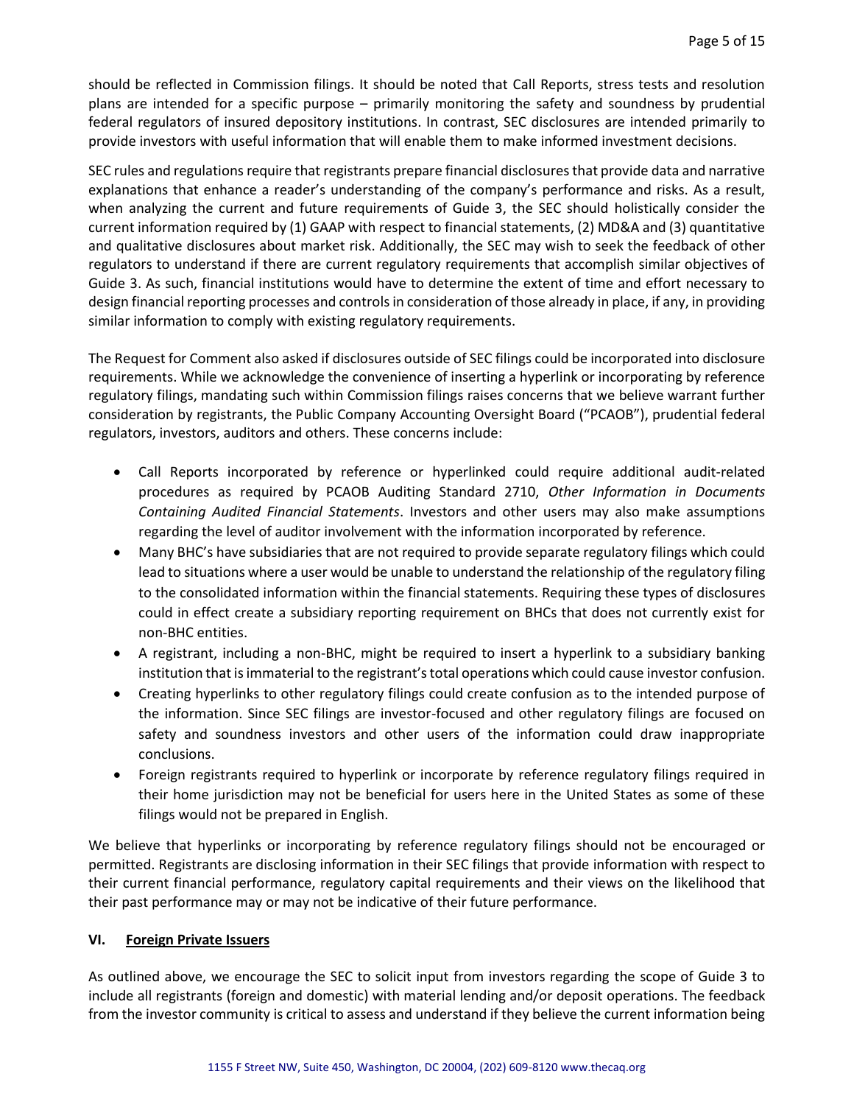should be reflected in Commission filings. It should be noted that Call Reports, stress tests and resolution plans are intended for a specific purpose – primarily monitoring the safety and soundness by prudential federal regulators of insured depository institutions. In contrast, SEC disclosures are intended primarily to provide investors with useful information that will enable them to make informed investment decisions.

SEC rules and regulations require that registrants prepare financial disclosures that provide data and narrative explanations that enhance a reader's understanding of the company's performance and risks. As a result, when analyzing the current and future requirements of Guide 3, the SEC should holistically consider the current information required by (1) GAAP with respect to financial statements, (2) MD&A and (3) quantitative and qualitative disclosures about market risk. Additionally, the SEC may wish to seek the feedback of other regulators to understand if there are current regulatory requirements that accomplish similar objectives of Guide 3. As such, financial institutions would have to determine the extent of time and effort necessary to design financial reporting processes and controls in consideration of those already in place, if any, in providing similar information to comply with existing regulatory requirements.

The Request for Comment also asked if disclosures outside of SEC filings could be incorporated into disclosure requirements. While we acknowledge the convenience of inserting a hyperlink or incorporating by reference regulatory filings, mandating such within Commission filings raises concerns that we believe warrant further consideration by registrants, the Public Company Accounting Oversight Board ("PCAOB"), prudential federal regulators, investors, auditors and others. These concerns include:

- Call Reports incorporated by reference or hyperlinked could require additional audit-related procedures as required by PCAOB Auditing Standard 2710, *Other Information in Documents Containing Audited Financial Statements*. Investors and other users may also make assumptions regarding the level of auditor involvement with the information incorporated by reference.
- Many BHC's have subsidiaries that are not required to provide separate regulatory filings which could lead to situations where a user would be unable to understand the relationship of the regulatory filing to the consolidated information within the financial statements. Requiring these types of disclosures could in effect create a subsidiary reporting requirement on BHCs that does not currently exist for non-BHC entities.
- A registrant, including a non-BHC, might be required to insert a hyperlink to a subsidiary banking institution that is immaterial to the registrant's total operations which could cause investor confusion.
- Creating hyperlinks to other regulatory filings could create confusion as to the intended purpose of the information. Since SEC filings are investor-focused and other regulatory filings are focused on safety and soundness investors and other users of the information could draw inappropriate conclusions.
- Foreign registrants required to hyperlink or incorporate by reference regulatory filings required in their home jurisdiction may not be beneficial for users here in the United States as some of these filings would not be prepared in English.

We believe that hyperlinks or incorporating by reference regulatory filings should not be encouraged or permitted. Registrants are disclosing information in their SEC filings that provide information with respect to their current financial performance, regulatory capital requirements and their views on the likelihood that their past performance may or may not be indicative of their future performance.

## **VI. Foreign Private Issuers**

As outlined above, we encourage the SEC to solicit input from investors regarding the scope of Guide 3 to include all registrants (foreign and domestic) with material lending and/or deposit operations. The feedback from the investor community is critical to assess and understand if they believe the current information being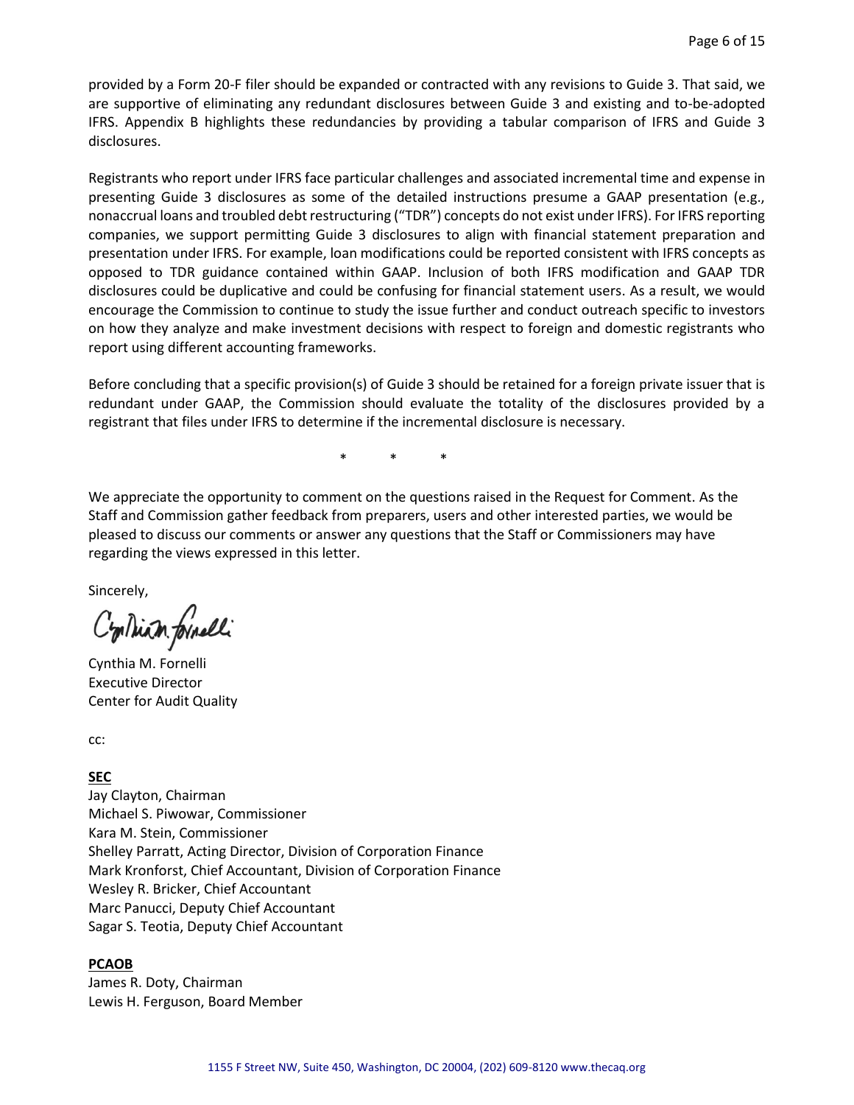provided by a Form 20-F filer should be expanded or contracted with any revisions to Guide 3. That said, we are supportive of eliminating any redundant disclosures between Guide 3 and existing and to-be-adopted IFRS. Appendix B highlights these redundancies by providing a tabular comparison of IFRS and Guide 3 disclosures.

Registrants who report under IFRS face particular challenges and associated incremental time and expense in presenting Guide 3 disclosures as some of the detailed instructions presume a GAAP presentation (e.g., nonaccrual loans and troubled debt restructuring ("TDR") concepts do not exist under IFRS). For IFRS reporting companies, we support permitting Guide 3 disclosures to align with financial statement preparation and presentation under IFRS. For example, loan modifications could be reported consistent with IFRS concepts as opposed to TDR guidance contained within GAAP. Inclusion of both IFRS modification and GAAP TDR disclosures could be duplicative and could be confusing for financial statement users. As a result, we would encourage the Commission to continue to study the issue further and conduct outreach specific to investors on how they analyze and make investment decisions with respect to foreign and domestic registrants who report using different accounting frameworks.

Before concluding that a specific provision(s) of Guide 3 should be retained for a foreign private issuer that is redundant under GAAP, the Commission should evaluate the totality of the disclosures provided by a registrant that files under IFRS to determine if the incremental disclosure is necessary.

\* \* \*

We appreciate the opportunity to comment on the questions raised in the Request for Comment. As the Staff and Commission gather feedback from preparers, users and other interested parties, we would be pleased to discuss our comments or answer any questions that the Staff or Commissioners may have regarding the views expressed in this letter.

Sincerely,

Contrian formelli

Cynthia M. Fornelli Executive Director Center for Audit Quality

cc:

#### **SEC**

Jay Clayton, Chairman Michael S. Piwowar, Commissioner Kara M. Stein, Commissioner Shelley Parratt, Acting Director, Division of Corporation Finance Mark Kronforst, Chief Accountant, Division of Corporation Finance Wesley R. Bricker, Chief Accountant Marc Panucci, Deputy Chief Accountant Sagar S. Teotia, Deputy Chief Accountant

#### **PCAOB**

James R. Doty, Chairman Lewis H. Ferguson, Board Member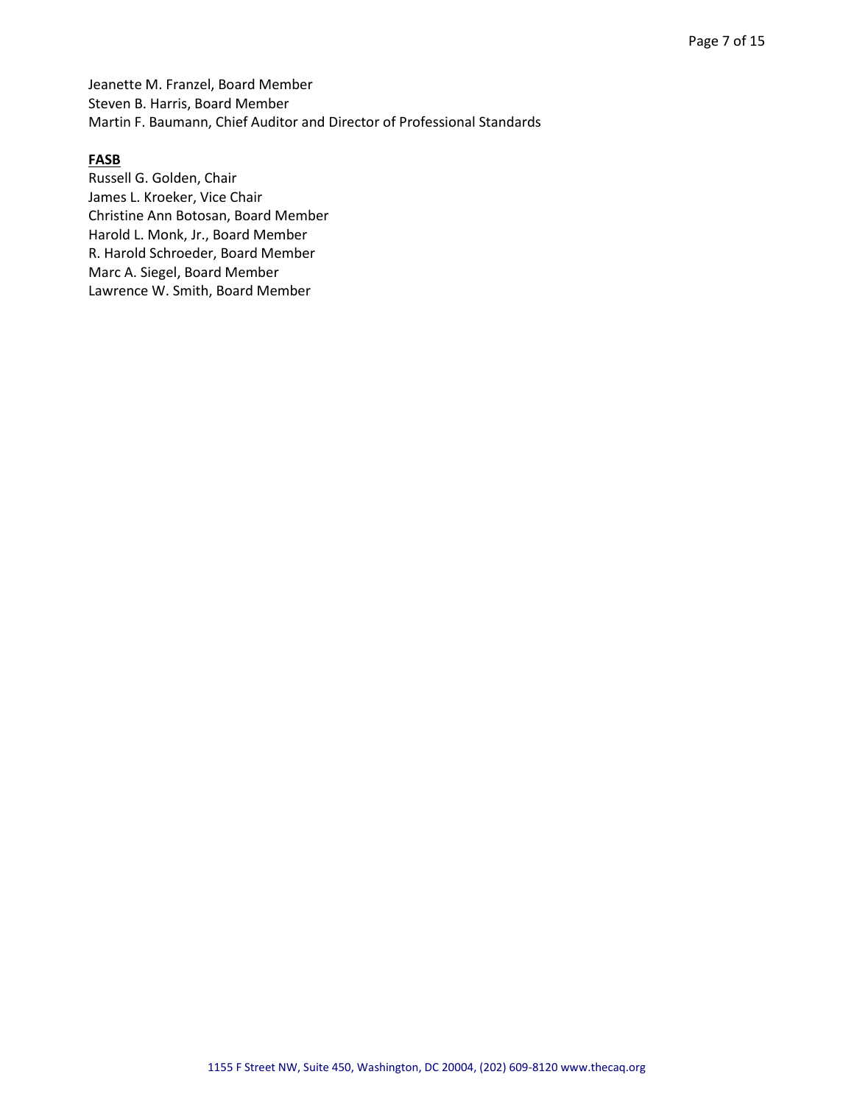Jeanette M. Franzel, Board Member Steven B. Harris, Board Member Martin F. Baumann, Chief Auditor and Director of Professional Standards

### **FASB**

Russell G. Golden, Chair James L. Kroeker, Vice Chair Christine Ann Botosan, Board Member Harold L. Monk, Jr., Board Member R. Harold Schroeder, Board Member Marc A. Siegel, Board Member Lawrence W. Smith, Board Member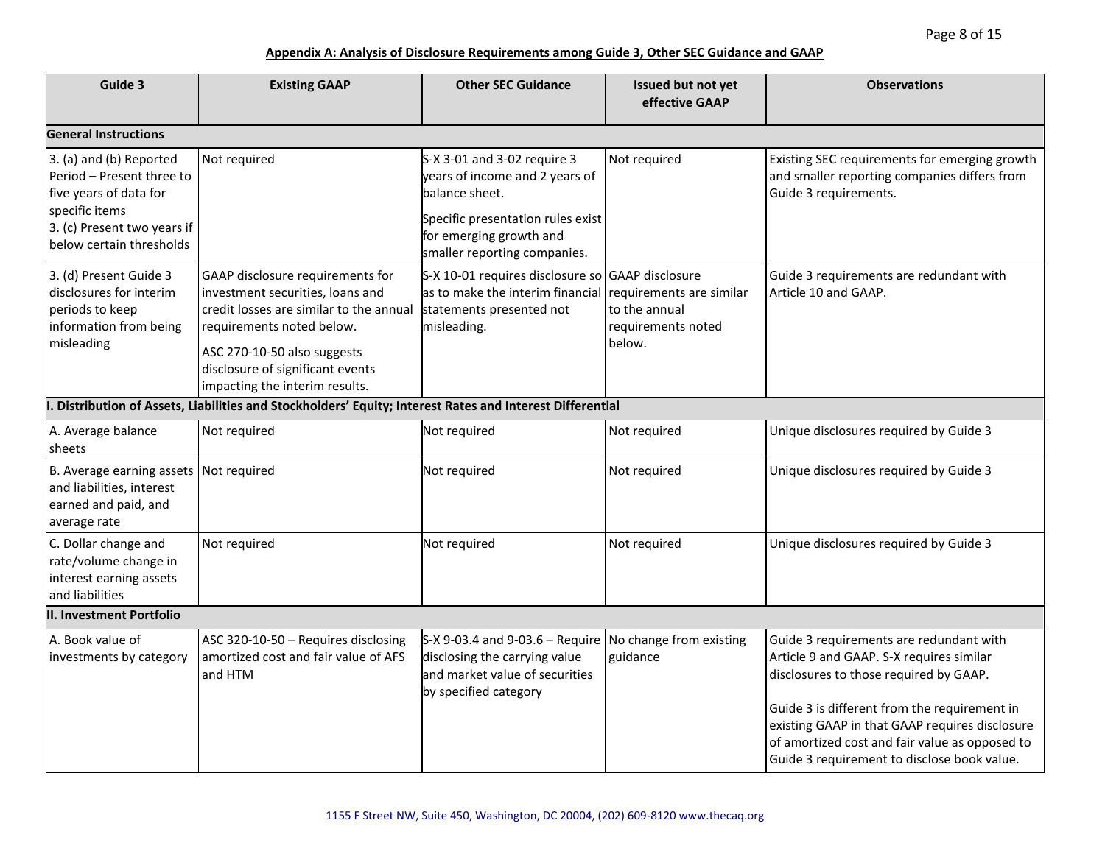| Guide 3                                                                                                                                                     | <b>Existing GAAP</b>                                                                                                                                                                                                                              | <b>Other SEC Guidance</b>                                                                                                                                                       | Issued but not yet<br>effective GAAP                                      | <b>Observations</b>                                                                                                                                                                                                                                                                                                              |  |
|-------------------------------------------------------------------------------------------------------------------------------------------------------------|---------------------------------------------------------------------------------------------------------------------------------------------------------------------------------------------------------------------------------------------------|---------------------------------------------------------------------------------------------------------------------------------------------------------------------------------|---------------------------------------------------------------------------|----------------------------------------------------------------------------------------------------------------------------------------------------------------------------------------------------------------------------------------------------------------------------------------------------------------------------------|--|
| <b>General Instructions</b>                                                                                                                                 |                                                                                                                                                                                                                                                   |                                                                                                                                                                                 |                                                                           |                                                                                                                                                                                                                                                                                                                                  |  |
| 3. (a) and (b) Reported<br>Period - Present three to<br>five years of data for<br>specific items<br>3. (c) Present two years if<br>below certain thresholds | Not required                                                                                                                                                                                                                                      | S-X 3-01 and 3-02 require 3<br>years of income and 2 years of<br>balance sheet.<br>Specific presentation rules exist<br>for emerging growth and<br>smaller reporting companies. | Not required                                                              | Existing SEC requirements for emerging growth<br>and smaller reporting companies differs from<br>Guide 3 requirements.                                                                                                                                                                                                           |  |
| 3. (d) Present Guide 3<br>disclosures for interim<br>periods to keep<br>information from being<br>misleading                                                | GAAP disclosure requirements for<br>investment securities, loans and<br>credit losses are similar to the annual<br>requirements noted below.<br>ASC 270-10-50 also suggests<br>disclosure of significant events<br>impacting the interim results. | S-X 10-01 requires disclosure so GAAP disclosure<br>as to make the interim financial<br>statements presented not<br>misleading.                                                 | requirements are similar<br>to the annual<br>requirements noted<br>below. | Guide 3 requirements are redundant with<br>Article 10 and GAAP.                                                                                                                                                                                                                                                                  |  |
|                                                                                                                                                             | . Distribution of Assets, Liabilities and Stockholders' Equity; Interest Rates and Interest Differential                                                                                                                                          |                                                                                                                                                                                 |                                                                           |                                                                                                                                                                                                                                                                                                                                  |  |
| A. Average balance<br>sheets                                                                                                                                | Not required                                                                                                                                                                                                                                      | Not required                                                                                                                                                                    | Not required                                                              | Unique disclosures required by Guide 3                                                                                                                                                                                                                                                                                           |  |
| B. Average earning assets<br>and liabilities, interest<br>earned and paid, and<br>average rate                                                              | Not required                                                                                                                                                                                                                                      | Not required                                                                                                                                                                    | Not required                                                              | Unique disclosures required by Guide 3                                                                                                                                                                                                                                                                                           |  |
| C. Dollar change and<br>rate/volume change in<br>interest earning assets<br>and liabilities                                                                 | Not required                                                                                                                                                                                                                                      | Not required                                                                                                                                                                    | Not required                                                              | Unique disclosures required by Guide 3                                                                                                                                                                                                                                                                                           |  |
| II. Investment Portfolio                                                                                                                                    |                                                                                                                                                                                                                                                   |                                                                                                                                                                                 |                                                                           |                                                                                                                                                                                                                                                                                                                                  |  |
| A. Book value of<br>investments by category                                                                                                                 | ASC 320-10-50 - Requires disclosing<br>amortized cost and fair value of AFS<br>and HTM                                                                                                                                                            | $S-X$ 9-03.4 and 9-03.6 – Require No change from existing<br>disclosing the carrying value<br>and market value of securities<br>by specified category                           | guidance                                                                  | Guide 3 requirements are redundant with<br>Article 9 and GAAP. S-X requires similar<br>disclosures to those required by GAAP.<br>Guide 3 is different from the requirement in<br>existing GAAP in that GAAP requires disclosure<br>of amortized cost and fair value as opposed to<br>Guide 3 requirement to disclose book value. |  |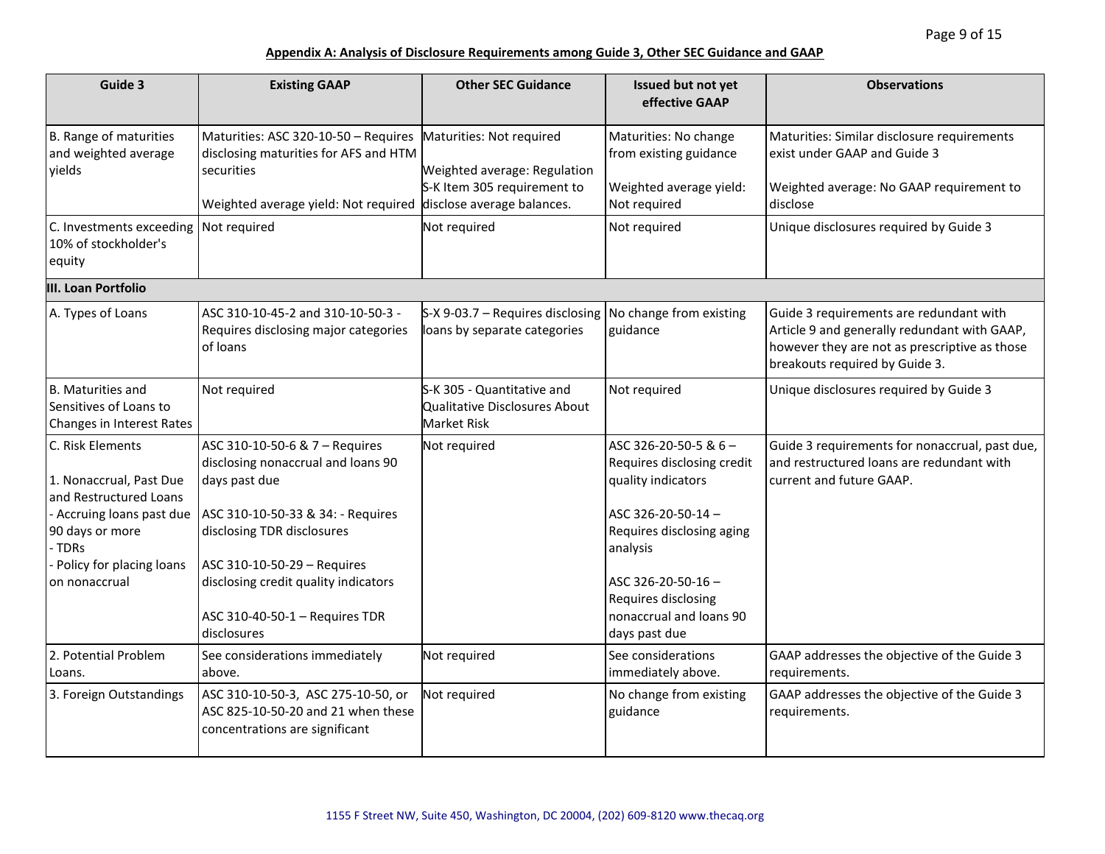| Guide 3                                                                                                                                                                        | <b>Existing GAAP</b>                                                                                                                                                                                                                                                             | <b>Other SEC Guidance</b>                                                                                             | Issued but not yet<br>effective GAAP                                                                                                                                                                                            | <b>Observations</b>                                                                                                                                                        |
|--------------------------------------------------------------------------------------------------------------------------------------------------------------------------------|----------------------------------------------------------------------------------------------------------------------------------------------------------------------------------------------------------------------------------------------------------------------------------|-----------------------------------------------------------------------------------------------------------------------|---------------------------------------------------------------------------------------------------------------------------------------------------------------------------------------------------------------------------------|----------------------------------------------------------------------------------------------------------------------------------------------------------------------------|
| B. Range of maturities<br>and weighted average<br>yields                                                                                                                       | Maturities: ASC 320-10-50 - Requires<br>disclosing maturities for AFS and HTM<br>securities<br>Weighted average yield: Not required                                                                                                                                              | Maturities: Not required<br>Weighted average: Regulation<br>S-K Item 305 requirement to<br>disclose average balances. | Maturities: No change<br>from existing guidance<br>Weighted average yield:<br>Not required                                                                                                                                      | Maturities: Similar disclosure requirements<br>exist under GAAP and Guide 3<br>Weighted average: No GAAP requirement to<br>disclose                                        |
| C. Investments exceeding<br>10% of stockholder's<br>equity                                                                                                                     | Not required                                                                                                                                                                                                                                                                     | Not required                                                                                                          | Not required                                                                                                                                                                                                                    | Unique disclosures required by Guide 3                                                                                                                                     |
| <b>III. Loan Portfolio</b>                                                                                                                                                     |                                                                                                                                                                                                                                                                                  |                                                                                                                       |                                                                                                                                                                                                                                 |                                                                                                                                                                            |
| A. Types of Loans                                                                                                                                                              | ASC 310-10-45-2 and 310-10-50-3 -<br>Requires disclosing major categories<br>of Ioans                                                                                                                                                                                            | S-X 9-03.7 – Requires disclosing<br>loans by separate categories                                                      | No change from existing<br>guidance                                                                                                                                                                                             | Guide 3 requirements are redundant with<br>Article 9 and generally redundant with GAAP,<br>however they are not as prescriptive as those<br>breakouts required by Guide 3. |
| B. Maturities and<br>Sensitives of Loans to<br>Changes in Interest Rates                                                                                                       | Not required                                                                                                                                                                                                                                                                     | S-K 305 - Quantitative and<br>Qualitative Disclosures About<br><b>Market Risk</b>                                     | Not required                                                                                                                                                                                                                    | Unique disclosures required by Guide 3                                                                                                                                     |
| C. Risk Elements<br>1. Nonaccrual, Past Due<br>and Restructured Loans<br>- Accruing loans past due<br>90 days or more<br>- TDRs<br>- Policy for placing loans<br>on nonaccrual | ASC 310-10-50-6 & 7 - Requires<br>disclosing nonaccrual and loans 90<br>days past due<br>ASC 310-10-50-33 & 34: - Requires<br>disclosing TDR disclosures<br>ASC 310-10-50-29 - Requires<br>disclosing credit quality indicators<br>ASC 310-40-50-1 - Requires TDR<br>disclosures | Not required                                                                                                          | ASC 326-20-50-5 & 6-<br>Requires disclosing credit<br>quality indicators<br>ASC 326-20-50-14-<br>Requires disclosing aging<br>analysis<br>ASC 326-20-50-16 -<br>Requires disclosing<br>nonaccrual and loans 90<br>days past due | Guide 3 requirements for nonaccrual, past due,<br>and restructured loans are redundant with<br>current and future GAAP.                                                    |
| 2. Potential Problem<br>Loans.                                                                                                                                                 | See considerations immediately<br>above.                                                                                                                                                                                                                                         | Not required                                                                                                          | See considerations<br>immediately above.                                                                                                                                                                                        | GAAP addresses the objective of the Guide 3<br>requirements.                                                                                                               |
| 3. Foreign Outstandings                                                                                                                                                        | ASC 310-10-50-3, ASC 275-10-50, or<br>ASC 825-10-50-20 and 21 when these<br>concentrations are significant                                                                                                                                                                       | Not required                                                                                                          | No change from existing<br>guidance                                                                                                                                                                                             | GAAP addresses the objective of the Guide 3<br>requirements.                                                                                                               |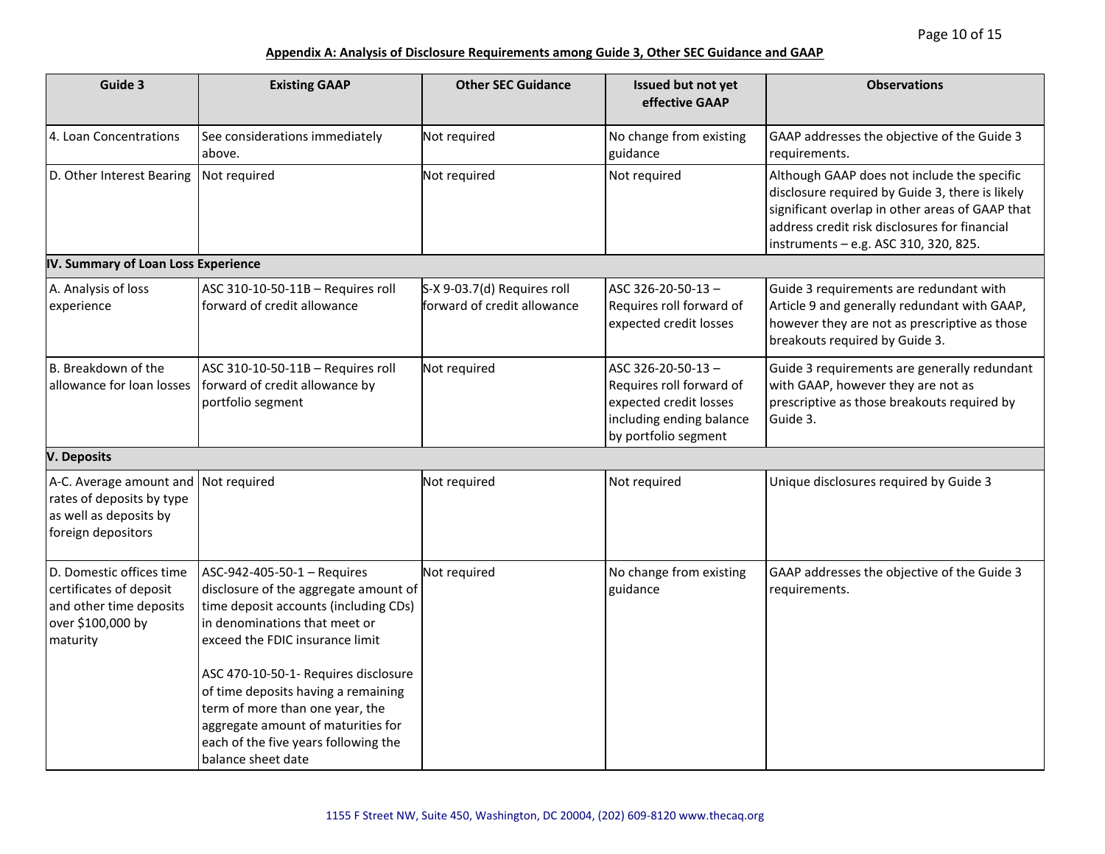| Guide 3                                                                                                           | <b>Existing GAAP</b>                                                                                                                                                                                                                                                                                                                                                                                    | <b>Other SEC Guidance</b>                                  | Issued but not yet<br>effective GAAP                                                                                        | <b>Observations</b>                                                                                                                                                                                                                         |
|-------------------------------------------------------------------------------------------------------------------|---------------------------------------------------------------------------------------------------------------------------------------------------------------------------------------------------------------------------------------------------------------------------------------------------------------------------------------------------------------------------------------------------------|------------------------------------------------------------|-----------------------------------------------------------------------------------------------------------------------------|---------------------------------------------------------------------------------------------------------------------------------------------------------------------------------------------------------------------------------------------|
| 4. Loan Concentrations                                                                                            | See considerations immediately<br>above.                                                                                                                                                                                                                                                                                                                                                                | Not required                                               | No change from existing<br>guidance                                                                                         | GAAP addresses the objective of the Guide 3<br>requirements.                                                                                                                                                                                |
| D. Other Interest Bearing                                                                                         | Not required                                                                                                                                                                                                                                                                                                                                                                                            | Not required                                               | Not required                                                                                                                | Although GAAP does not include the specific<br>disclosure required by Guide 3, there is likely<br>significant overlap in other areas of GAAP that<br>address credit risk disclosures for financial<br>instruments - e.g. ASC 310, 320, 825. |
| IV. Summary of Loan Loss Experience                                                                               |                                                                                                                                                                                                                                                                                                                                                                                                         |                                                            |                                                                                                                             |                                                                                                                                                                                                                                             |
| A. Analysis of loss<br>experience                                                                                 | ASC 310-10-50-11B - Requires roll<br>forward of credit allowance                                                                                                                                                                                                                                                                                                                                        | S-X 9-03.7(d) Requires roll<br>forward of credit allowance | ASC 326-20-50-13-<br>Requires roll forward of<br>expected credit losses                                                     | Guide 3 requirements are redundant with<br>Article 9 and generally redundant with GAAP,<br>however they are not as prescriptive as those<br>breakouts required by Guide 3.                                                                  |
| B. Breakdown of the<br>allowance for loan losses                                                                  | ASC 310-10-50-11B - Requires roll<br>forward of credit allowance by<br>portfolio segment                                                                                                                                                                                                                                                                                                                | Not required                                               | ASC 326-20-50-13-<br>Requires roll forward of<br>expected credit losses<br>including ending balance<br>by portfolio segment | Guide 3 requirements are generally redundant<br>with GAAP, however they are not as<br>prescriptive as those breakouts required by<br>Guide 3.                                                                                               |
| <b>V. Deposits</b>                                                                                                |                                                                                                                                                                                                                                                                                                                                                                                                         |                                                            |                                                                                                                             |                                                                                                                                                                                                                                             |
| A-C. Average amount and Not required<br>rates of deposits by type<br>as well as deposits by<br>foreign depositors |                                                                                                                                                                                                                                                                                                                                                                                                         | Not required                                               | Not required                                                                                                                | Unique disclosures required by Guide 3                                                                                                                                                                                                      |
| D. Domestic offices time<br>certificates of deposit<br>and other time deposits<br>over \$100,000 by<br>maturity   | ASC-942-405-50-1 - Requires<br>disclosure of the aggregate amount of<br>time deposit accounts (including CDs)<br>in denominations that meet or<br>exceed the FDIC insurance limit<br>ASC 470-10-50-1- Requires disclosure<br>of time deposits having a remaining<br>term of more than one year, the<br>aggregate amount of maturities for<br>each of the five years following the<br>balance sheet date | Not required                                               | No change from existing<br>guidance                                                                                         | GAAP addresses the objective of the Guide 3<br>requirements.                                                                                                                                                                                |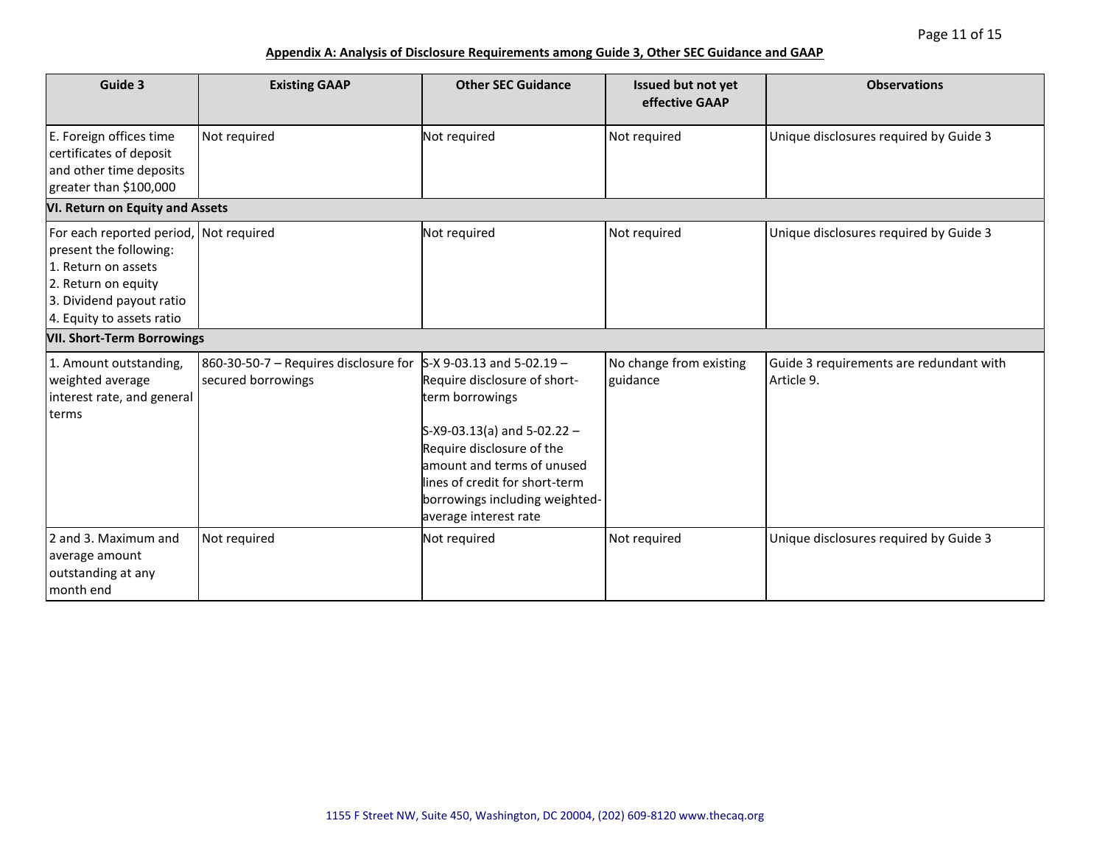| Guide 3                                                                                                                                                                 | <b>Existing GAAP</b>                                        | <b>Other SEC Guidance</b>                                                                                                                                                                                                                                                 | Issued but not yet<br>effective GAAP | <b>Observations</b>                                   |
|-------------------------------------------------------------------------------------------------------------------------------------------------------------------------|-------------------------------------------------------------|---------------------------------------------------------------------------------------------------------------------------------------------------------------------------------------------------------------------------------------------------------------------------|--------------------------------------|-------------------------------------------------------|
| E. Foreign offices time<br>certificates of deposit<br>and other time deposits<br>greater than \$100,000                                                                 | Not required                                                | Not required                                                                                                                                                                                                                                                              | Not required                         | Unique disclosures required by Guide 3                |
| VI. Return on Equity and Assets                                                                                                                                         |                                                             |                                                                                                                                                                                                                                                                           |                                      |                                                       |
| For each reported period, Not required<br>present the following:<br>1. Return on assets<br>2. Return on equity<br>3. Dividend payout ratio<br>4. Equity to assets ratio |                                                             | Not required                                                                                                                                                                                                                                                              | Not required                         | Unique disclosures required by Guide 3                |
| <b>VII. Short-Term Borrowings</b>                                                                                                                                       |                                                             |                                                                                                                                                                                                                                                                           |                                      |                                                       |
| 1. Amount outstanding,<br>weighted average<br>interest rate, and general<br>terms                                                                                       | 860-30-50-7 - Requires disclosure for<br>secured borrowings | $S-X$ 9-03.13 and 5-02.19 -<br>Require disclosure of short-<br>term borrowings<br>$S-X9-03.13(a)$ and $5-02.22 -$<br>Require disclosure of the<br>amount and terms of unused<br>lines of credit for short-term<br>borrowings including weighted-<br>average interest rate | No change from existing<br>guidance  | Guide 3 requirements are redundant with<br>Article 9. |
| 2 and 3. Maximum and<br>average amount<br>outstanding at any<br>month end                                                                                               | Not required                                                | Not required                                                                                                                                                                                                                                                              | Not required                         | Unique disclosures required by Guide 3                |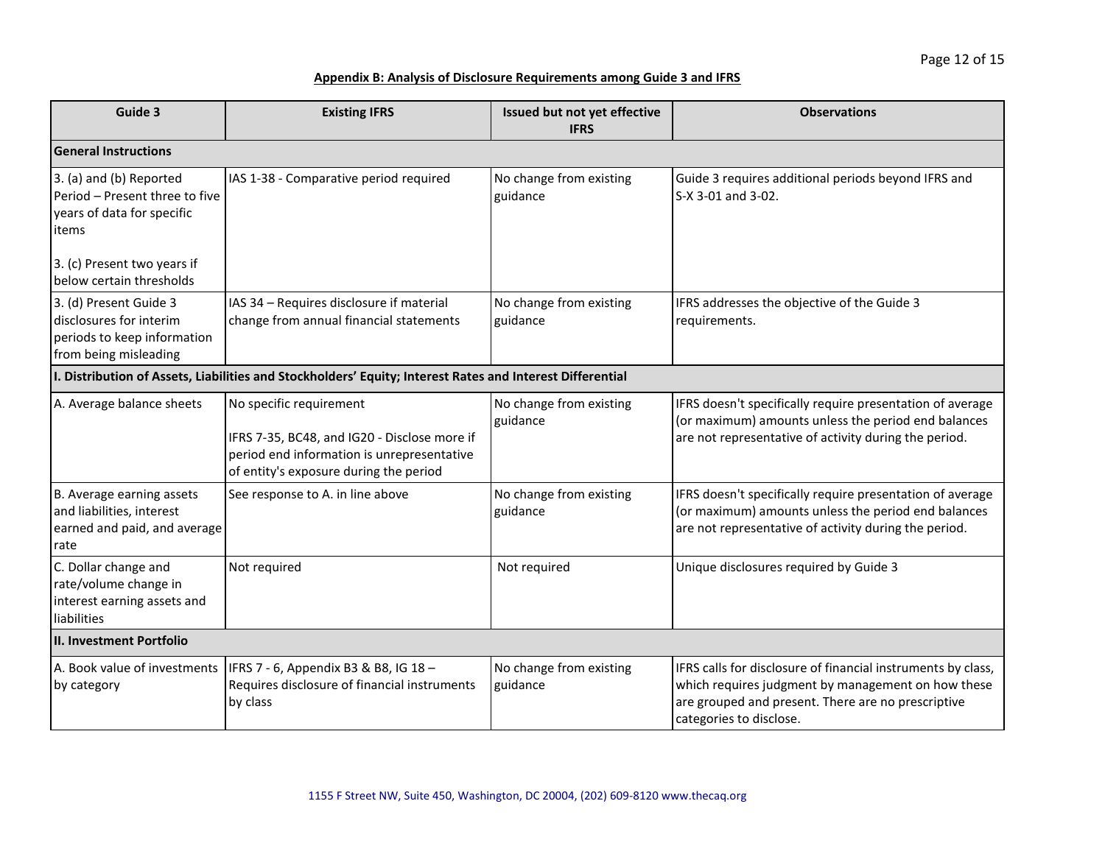| Guide 3                                                                                                   | <b>Existing IFRS</b>                                                                                                                                            | Issued but not yet effective<br><b>IFRS</b> | <b>Observations</b>                                                                                                                                                                                 |  |
|-----------------------------------------------------------------------------------------------------------|-----------------------------------------------------------------------------------------------------------------------------------------------------------------|---------------------------------------------|-----------------------------------------------------------------------------------------------------------------------------------------------------------------------------------------------------|--|
| <b>General Instructions</b>                                                                               |                                                                                                                                                                 |                                             |                                                                                                                                                                                                     |  |
| 3. (a) and (b) Reported<br>Period - Present three to five<br>years of data for specific<br>items          | IAS 1-38 - Comparative period required                                                                                                                          | No change from existing<br>guidance         | Guide 3 requires additional periods beyond IFRS and<br>S-X 3-01 and 3-02.                                                                                                                           |  |
| 3. (c) Present two years if<br>below certain thresholds                                                   |                                                                                                                                                                 |                                             |                                                                                                                                                                                                     |  |
| 3. (d) Present Guide 3<br>disclosures for interim<br>periods to keep information<br>from being misleading | IAS 34 - Requires disclosure if material<br>change from annual financial statements                                                                             | No change from existing<br>guidance         | IFRS addresses the objective of the Guide 3<br>requirements.                                                                                                                                        |  |
|                                                                                                           | I. Distribution of Assets, Liabilities and Stockholders' Equity; Interest Rates and Interest Differential                                                       |                                             |                                                                                                                                                                                                     |  |
| A. Average balance sheets                                                                                 | No specific requirement<br>IFRS 7-35, BC48, and IG20 - Disclose more if<br>period end information is unrepresentative<br>of entity's exposure during the period | No change from existing<br>guidance         | IFRS doesn't specifically require presentation of average<br>(or maximum) amounts unless the period end balances<br>are not representative of activity during the period.                           |  |
| B. Average earning assets<br>and liabilities, interest<br>earned and paid, and average<br>rate            | See response to A. in line above                                                                                                                                | No change from existing<br>guidance         | IFRS doesn't specifically require presentation of average<br>(or maximum) amounts unless the period end balances<br>are not representative of activity during the period.                           |  |
| C. Dollar change and<br>rate/volume change in<br>interest earning assets and<br>liabilities               | Not required                                                                                                                                                    | Not required                                | Unique disclosures required by Guide 3                                                                                                                                                              |  |
| <b>II. Investment Portfolio</b>                                                                           |                                                                                                                                                                 |                                             |                                                                                                                                                                                                     |  |
| A. Book value of investments<br>by category                                                               | IFRS 7 - 6, Appendix B3 & B8, IG 18 -<br>Requires disclosure of financial instruments<br>by class                                                               | No change from existing<br>guidance         | IFRS calls for disclosure of financial instruments by class,<br>which requires judgment by management on how these<br>are grouped and present. There are no prescriptive<br>categories to disclose. |  |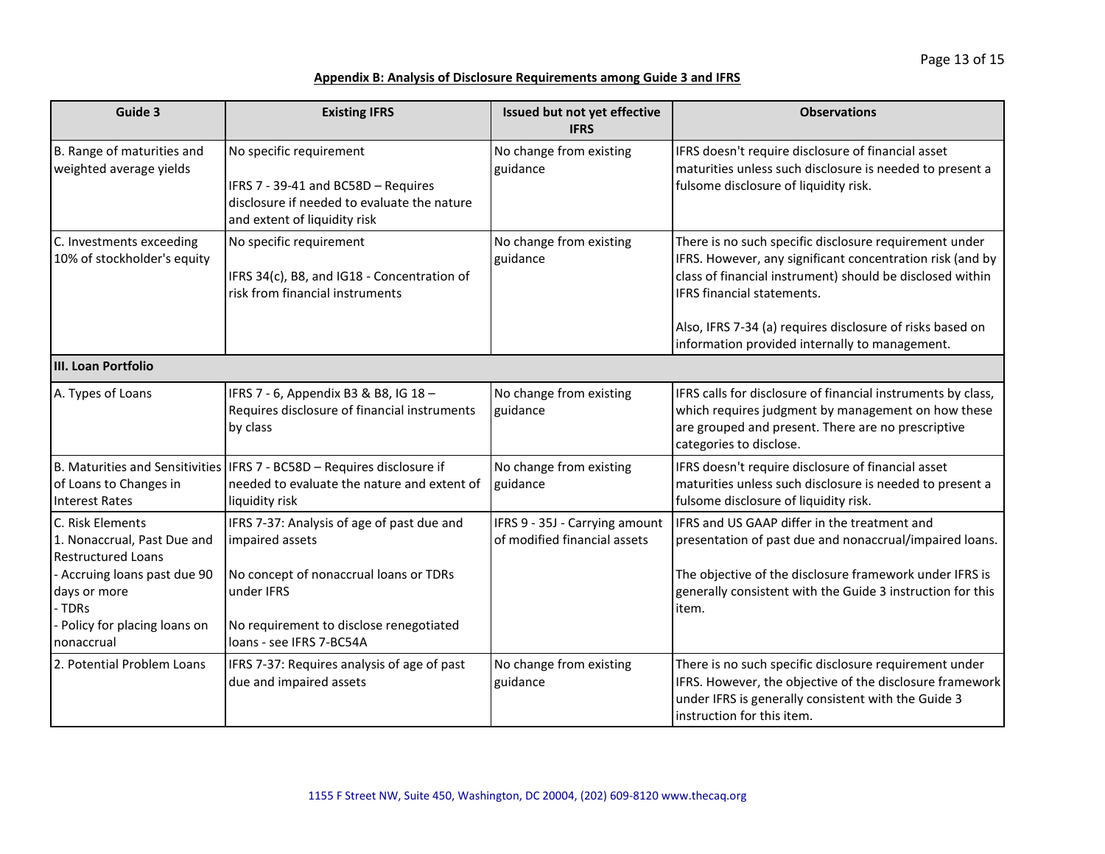| Guide 3                                                                                                                                                                               | <b>Existing IFRS</b>                                                                                                                                                                         | Issued but not yet effective<br><b>IFRS</b>                    | <b>Observations</b>                                                                                                                                                                                                                                                                                                           |
|---------------------------------------------------------------------------------------------------------------------------------------------------------------------------------------|----------------------------------------------------------------------------------------------------------------------------------------------------------------------------------------------|----------------------------------------------------------------|-------------------------------------------------------------------------------------------------------------------------------------------------------------------------------------------------------------------------------------------------------------------------------------------------------------------------------|
| B. Range of maturities and<br>weighted average yields                                                                                                                                 | No specific requirement<br>IFRS 7 - 39-41 and BC58D - Requires<br>disclosure if needed to evaluate the nature<br>and extent of liquidity risk                                                | No change from existing<br>guidance                            | IFRS doesn't require disclosure of financial asset<br>maturities unless such disclosure is needed to present a<br>fulsome disclosure of liquidity risk.                                                                                                                                                                       |
| C. Investments exceeding<br>10% of stockholder's equity                                                                                                                               | No specific requirement<br>IFRS 34(c), B8, and IG18 - Concentration of<br>risk from financial instruments                                                                                    | No change from existing<br>guidance                            | There is no such specific disclosure requirement under<br>IFRS. However, any significant concentration risk (and by<br>class of financial instrument) should be disclosed within<br>IFRS financial statements.<br>Also, IFRS 7-34 (a) requires disclosure of risks based on<br>information provided internally to management. |
| III. Loan Portfolio                                                                                                                                                                   |                                                                                                                                                                                              |                                                                |                                                                                                                                                                                                                                                                                                                               |
| A. Types of Loans                                                                                                                                                                     | IFRS 7 - 6, Appendix B3 & B8, IG 18 -<br>Requires disclosure of financial instruments<br>by class                                                                                            | No change from existing<br>guidance                            | IFRS calls for disclosure of financial instruments by class,<br>which requires judgment by management on how these<br>are grouped and present. There are no prescriptive<br>categories to disclose.                                                                                                                           |
| of Loans to Changes in<br><b>Interest Rates</b>                                                                                                                                       | B. Maturities and Sensitivities   IFRS 7 - BC58D - Requires disclosure if<br>needed to evaluate the nature and extent of<br>liquidity risk                                                   | No change from existing<br>guidance                            | IFRS doesn't require disclosure of financial asset<br>maturities unless such disclosure is needed to present a<br>fulsome disclosure of liquidity risk.                                                                                                                                                                       |
| C. Risk Elements<br>1. Nonaccrual, Past Due and<br><b>Restructured Loans</b><br>- Accruing loans past due 90<br>days or more<br>- TDRs<br>- Policy for placing loans on<br>nonaccrual | IFRS 7-37: Analysis of age of past due and<br>impaired assets<br>No concept of nonaccrual loans or TDRs<br>under IFRS<br>No requirement to disclose renegotiated<br>loans - see IFRS 7-BC54A | IFRS 9 - 35J - Carrying amount<br>of modified financial assets | IFRS and US GAAP differ in the treatment and<br>presentation of past due and nonaccrual/impaired loans.<br>The objective of the disclosure framework under IFRS is<br>generally consistent with the Guide 3 instruction for this<br>item.                                                                                     |
| 2. Potential Problem Loans                                                                                                                                                            | IFRS 7-37: Requires analysis of age of past<br>due and impaired assets                                                                                                                       | No change from existing<br>guidance                            | There is no such specific disclosure requirement under<br>IFRS. However, the objective of the disclosure framework<br>under IFRS is generally consistent with the Guide 3<br>Instruction for this item.                                                                                                                       |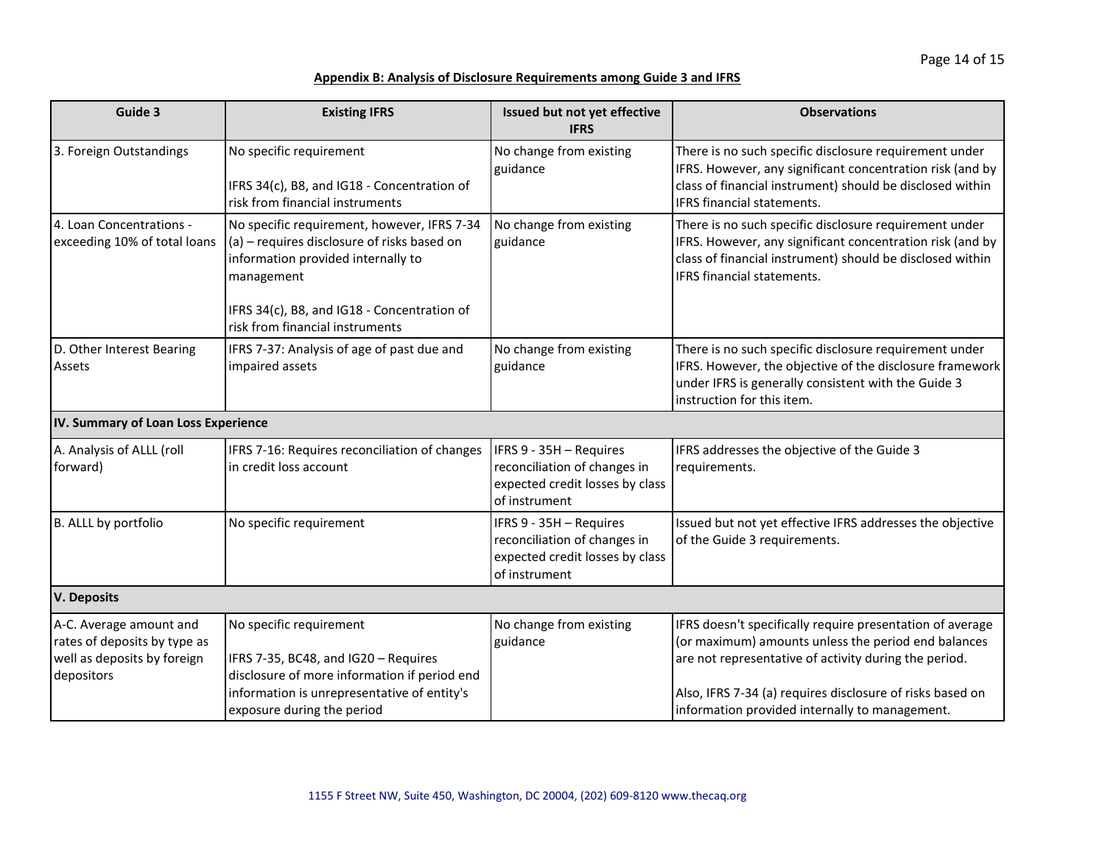| Guide 3                                                                                              | <b>Existing IFRS</b>                                                                                                                                                                                                             | Issued but not yet effective<br><b>IFRS</b>                                                                 | <b>Observations</b>                                                                                                                                                                                                                                                                      |
|------------------------------------------------------------------------------------------------------|----------------------------------------------------------------------------------------------------------------------------------------------------------------------------------------------------------------------------------|-------------------------------------------------------------------------------------------------------------|------------------------------------------------------------------------------------------------------------------------------------------------------------------------------------------------------------------------------------------------------------------------------------------|
| 3. Foreign Outstandings                                                                              | No specific requirement<br>IFRS 34(c), B8, and IG18 - Concentration of<br>risk from financial instruments                                                                                                                        | No change from existing<br>guidance                                                                         | There is no such specific disclosure requirement under<br>IFRS. However, any significant concentration risk (and by<br>class of financial instrument) should be disclosed within<br>IFRS financial statements.                                                                           |
| 4. Loan Concentrations -<br>exceeding 10% of total loans                                             | No specific requirement, however, IFRS 7-34<br>(a) - requires disclosure of risks based on<br>information provided internally to<br>management<br>IFRS 34(c), B8, and IG18 - Concentration of<br>risk from financial instruments | No change from existing<br>guidance                                                                         | There is no such specific disclosure requirement under<br>IFRS. However, any significant concentration risk (and by<br>class of financial instrument) should be disclosed within<br><b>IFRS</b> financial statements.                                                                    |
| D. Other Interest Bearing<br>Assets                                                                  | IFRS 7-37: Analysis of age of past due and<br>impaired assets                                                                                                                                                                    | No change from existing<br>guidance                                                                         | There is no such specific disclosure requirement under<br>IFRS. However, the objective of the disclosure framework<br>under IFRS is generally consistent with the Guide 3<br>instruction for this item.                                                                                  |
| IV. Summary of Loan Loss Experience                                                                  |                                                                                                                                                                                                                                  |                                                                                                             |                                                                                                                                                                                                                                                                                          |
| A. Analysis of ALLL (roll<br>forward)                                                                | IFRS 7-16: Requires reconciliation of changes<br>in credit loss account                                                                                                                                                          | IFRS 9 - 35H - Requires<br>reconciliation of changes in<br>expected credit losses by class<br>of instrument | IFRS addresses the objective of the Guide 3<br>requirements.                                                                                                                                                                                                                             |
| B. ALLL by portfolio                                                                                 | No specific requirement                                                                                                                                                                                                          | IFRS 9 - 35H - Requires<br>reconciliation of changes in<br>expected credit losses by class<br>of instrument | Issued but not yet effective IFRS addresses the objective<br>of the Guide 3 requirements.                                                                                                                                                                                                |
| <b>V. Deposits</b>                                                                                   |                                                                                                                                                                                                                                  |                                                                                                             |                                                                                                                                                                                                                                                                                          |
| A-C. Average amount and<br>rates of deposits by type as<br>well as deposits by foreign<br>depositors | No specific requirement<br>IFRS 7-35, BC48, and IG20 - Requires<br>disclosure of more information if period end<br>information is unrepresentative of entity's<br>exposure during the period                                     | No change from existing<br>guidance                                                                         | IFRS doesn't specifically require presentation of average<br>(or maximum) amounts unless the period end balances<br>are not representative of activity during the period.<br>Also, IFRS 7-34 (a) requires disclosure of risks based on<br>information provided internally to management. |